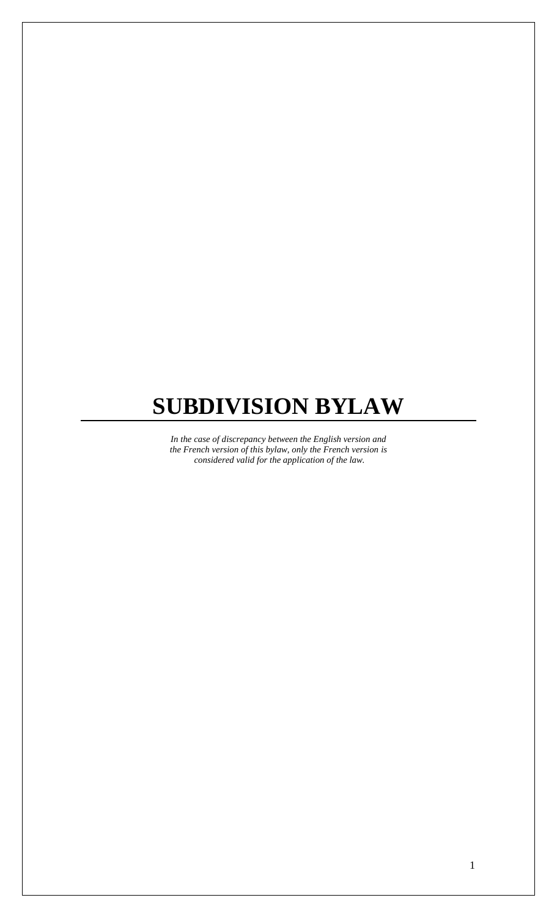# **SUBDIVISION BYLAW**

*In the case of discrepancy between the English version and the French version of this bylaw, only the French version is considered valid for the application of the law.*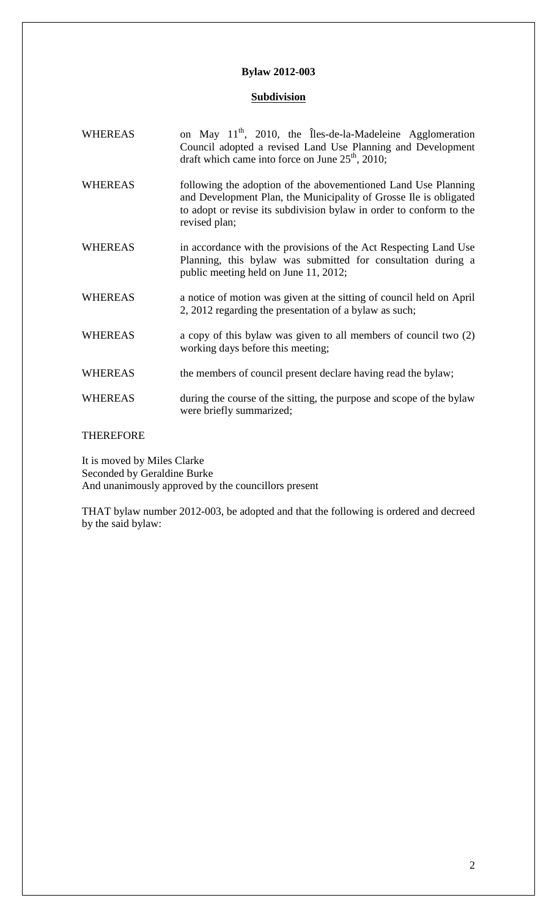# **Bylaw 2012-003**

# **Subdivision**

| <b>WHEREAS</b> | on May $11^{th}$ , 2010, the Îles-de-la-Madeleine Agglomeration<br>Council adopted a revised Land Use Planning and Development<br>draft which came into force on June $25th$ , 2010;                                        |
|----------------|-----------------------------------------------------------------------------------------------------------------------------------------------------------------------------------------------------------------------------|
| <b>WHEREAS</b> | following the adoption of the abovementioned Land Use Planning<br>and Development Plan, the Municipality of Grosse Ile is obligated<br>to adopt or revise its subdivision bylaw in order to conform to the<br>revised plan; |
| <b>WHEREAS</b> | in accordance with the provisions of the Act Respecting Land Use<br>Planning, this bylaw was submitted for consultation during a<br>public meeting held on June 11, 2012;                                                   |
| <b>WHEREAS</b> | a notice of motion was given at the sitting of council held on April<br>2, 2012 regarding the presentation of a bylaw as such;                                                                                              |
| <b>WHEREAS</b> | a copy of this bylaw was given to all members of council two (2)<br>working days before this meeting;                                                                                                                       |
| <b>WHEREAS</b> | the members of council present declare having read the bylaw;                                                                                                                                                               |
| <b>WHEREAS</b> | during the course of the sitting, the purpose and scope of the bylaw<br>were briefly summarized;                                                                                                                            |

# THEREFORE

It is moved by Miles Clarke Seconded by Geraldine Burke And unanimously approved by the councillors present

THAT bylaw number 2012-003, be adopted and that the following is ordered and decreed by the said bylaw: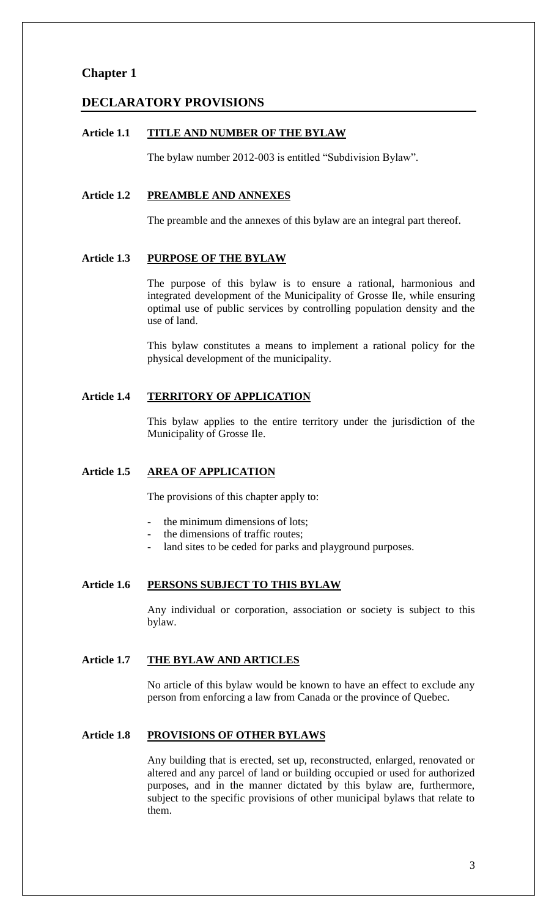# **Chapter 1**

# **DECLARATORY PROVISIONS**

### **Article 1.1 TITLE AND NUMBER OF THE BYLAW**

The bylaw number 2012-003 is entitled "Subdivision Bylaw".

#### **Article 1.2 PREAMBLE AND ANNEXES**

The preamble and the annexes of this bylaw are an integral part thereof.

# **Article 1.3 PURPOSE OF THE BYLAW**

The purpose of this bylaw is to ensure a rational, harmonious and integrated development of the Municipality of Grosse Ile, while ensuring optimal use of public services by controlling population density and the use of land.

This bylaw constitutes a means to implement a rational policy for the physical development of the municipality.

# **Article 1.4 TERRITORY OF APPLICATION**

This bylaw applies to the entire territory under the jurisdiction of the Municipality of Grosse Ile.

## **Article 1.5 AREA OF APPLICATION**

The provisions of this chapter apply to:

- the minimum dimensions of lots;
- the dimensions of traffic routes;
- land sites to be ceded for parks and playground purposes.

# **Article 1.6 PERSONS SUBJECT TO THIS BYLAW**

Any individual or corporation, association or society is subject to this bylaw.

# **Article 1.7 THE BYLAW AND ARTICLES**

No article of this bylaw would be known to have an effect to exclude any person from enforcing a law from Canada or the province of Quebec.

# **Article 1.8 PROVISIONS OF OTHER BYLAWS**

Any building that is erected, set up, reconstructed, enlarged, renovated or altered and any parcel of land or building occupied or used for authorized purposes, and in the manner dictated by this bylaw are, furthermore, subject to the specific provisions of other municipal bylaws that relate to them.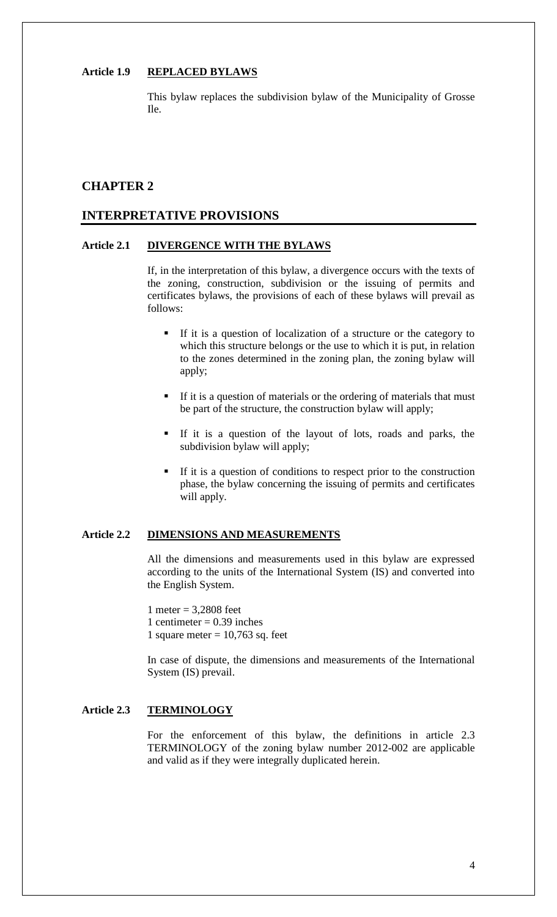# **Article 1.9 REPLACED BYLAWS**

This bylaw replaces the subdivision bylaw of the Municipality of Grosse Ile.

# **CHAPTER 2**

# **INTERPRETATIVE PROVISIONS**

## **Article 2.1 DIVERGENCE WITH THE BYLAWS**

If, in the interpretation of this bylaw, a divergence occurs with the texts of the zoning, construction, subdivision or the issuing of permits and certificates bylaws, the provisions of each of these bylaws will prevail as follows:

- If it is a question of localization of a structure or the category to which this structure belongs or the use to which it is put, in relation to the zones determined in the zoning plan, the zoning bylaw will apply;
- If it is a question of materials or the ordering of materials that must be part of the structure, the construction bylaw will apply;
- If it is a question of the layout of lots, roads and parks, the subdivision bylaw will apply;
- If it is a question of conditions to respect prior to the construction phase, the bylaw concerning the issuing of permits and certificates will apply.

#### **Article 2.2 DIMENSIONS AND MEASUREMENTS**

All the dimensions and measurements used in this bylaw are expressed according to the units of the International System (IS) and converted into the English System.

1 meter =  $3.2808$  feet 1 centimeter =  $0.39$  inches 1 square meter  $= 10,763$  sq. feet

In case of dispute, the dimensions and measurements of the International System (IS) prevail.

# **Article 2.3 TERMINOLOGY**

For the enforcement of this bylaw, the definitions in article 2.3 TERMINOLOGY of the zoning bylaw number 2012-002 are applicable and valid as if they were integrally duplicated herein.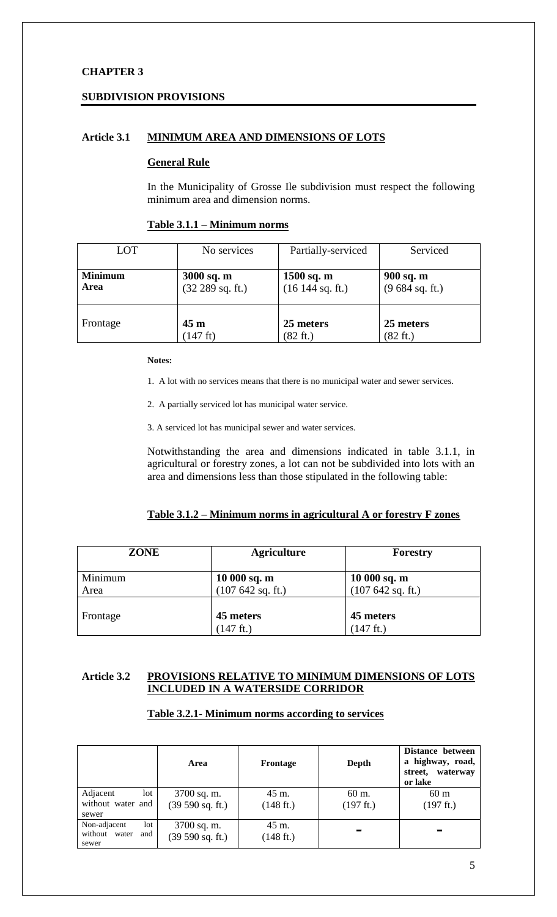# **CHAPTER 3**

# **SUBDIVISION PROVISIONS**

# **Article 3.1 MINIMUM AREA AND DIMENSIONS OF LOTS**

## **General Rule**

In the Municipality of Grosse Ile subdivision must respect the following minimum area and dimension norms.

## **Table 3.1.1 – Minimum norms**

| LOT            | No services        | Partially-serviced | Serviced           |
|----------------|--------------------|--------------------|--------------------|
| <b>Minimum</b> | $3000$ sq. m       | $1500$ sq. m       | 900 sq. m          |
| Area           | (32 289 sq. ft.)   | (16144 sq. ft.)    | (9684 sq. ft.)     |
| Frontage       | 45 <sub>m</sub>    | 25 meters          | 25 meters          |
|                | $(147 \text{ ft})$ | $(82 \text{ ft.})$ | $(82 \text{ ft.})$ |

#### **Notes:**

1. A lot with no services means that there is no municipal water and sewer services.

2. A partially serviced lot has municipal water service.

3. A serviced lot has municipal sewer and water services.

Notwithstanding the area and dimensions indicated in table 3.1.1, in agricultural or forestry zones, a lot can not be subdivided into lots with an area and dimensions less than those stipulated in the following table:

# **Table 3.1.2 – Minimum norms in agricultural A or forestry F zones**

| <b>ZONE</b>     | <b>Agriculture</b>                 | Forestry                           |
|-----------------|------------------------------------|------------------------------------|
| Minimum<br>Area | $10000$ sq. m<br>(107 642 sq. ft.) | $10000$ sq. m<br>(107 642 sq. ft.) |
| Frontage        | 45 meters<br>$(147 \text{ ft.})$   | 45 meters<br>$(147 \text{ ft.})$   |

# **Article 3.2 PROVISIONS RELATIVE TO MINIMUM DIMENSIONS OF LOTS INCLUDED IN A WATERSIDE CORRIDOR**

# **Table 3.2.1- Minimum norms according to services**

|                                                      | Area                            | Frontage                     | Depth              | Distance between<br>a highway, road,<br>waterway<br>street,<br>or lake |
|------------------------------------------------------|---------------------------------|------------------------------|--------------------|------------------------------------------------------------------------|
| Adjacent<br>lot<br>without water and<br>sewer        | 3700 sq. m.<br>(39 590 sq. ft.) | 45 m.<br>$(148 \text{ ft.})$ | 60 m.<br>(197 ft.) | 60 <sub>m</sub><br>$(197 \text{ ft.})$                                 |
| Non-adjacent<br>lot<br>without water<br>and<br>sewer | 3700 sq. m.<br>(39 590 sq. ft.) | 45 m.<br>$(148 \text{ ft.})$ | -                  | $\equiv$                                                               |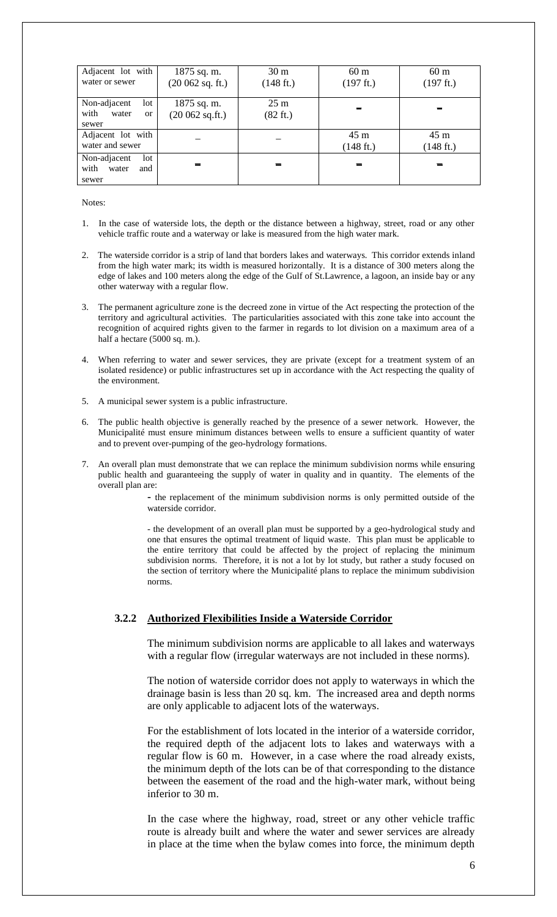| Adjacent lot with<br>water or sewer                    | 1875 sq. m.<br>(20062 sq. ft.)    | 30 <sub>m</sub><br>$(148 \text{ ft.})$ | 60 <sub>m</sub><br>(197 ft.) | 60 <sub>m</sub><br>(197 ft.) |
|--------------------------------------------------------|-----------------------------------|----------------------------------------|------------------------------|------------------------------|
| Non-adjacent<br>$1$ ot<br>with<br>water<br>or<br>sewer | $1875$ sq. m.<br>$(20062$ sq.ft.) | $25 \text{ m}$<br>(82 ft.)             |                              |                              |
| Adjacent lot with<br>water and sewer                   |                                   |                                        | 45 m<br>$(148 \text{ ft.})$  | 45 m<br>(148 ft.)            |
| Non-adjacent<br>lot<br>with<br>water<br>and<br>sewer   |                                   |                                        |                              |                              |

Notes:

- 1. In the case of waterside lots, the depth or the distance between a highway, street, road or any other vehicle traffic route and a waterway or lake is measured from the high water mark.
- 2. The waterside corridor is a strip of land that borders lakes and waterways. This corridor extends inland from the high water mark; its width is measured horizontally. It is a distance of 300 meters along the edge of lakes and 100 meters along the edge of the Gulf of St.Lawrence, a lagoon, an inside bay or any other waterway with a regular flow.
- 3. The permanent agriculture zone is the decreed zone in virtue of the Act respecting the protection of the territory and agricultural activities. The particularities associated with this zone take into account the recognition of acquired rights given to the farmer in regards to lot division on a maximum area of a half a hectare (5000 sq. m.).
- 4. When referring to water and sewer services, they are private (except for a treatment system of an isolated residence) or public infrastructures set up in accordance with the Act respecting the quality of the environment.
- 5. A municipal sewer system is a public infrastructure.
- 6. The public health objective is generally reached by the presence of a sewer network. However, the Municipalité must ensure minimum distances between wells to ensure a sufficient quantity of water and to prevent over-pumping of the geo-hydrology formations.
- 7. An overall plan must demonstrate that we can replace the minimum subdivision norms while ensuring public health and guaranteeing the supply of water in quality and in quantity. The elements of the overall plan are:

**-** the replacement of the minimum subdivision norms is only permitted outside of the waterside corridor.

- the development of an overall plan must be supported by a geo-hydrological study and one that ensures the optimal treatment of liquid waste. This plan must be applicable to the entire territory that could be affected by the project of replacing the minimum subdivision norms. Therefore, it is not a lot by lot study, but rather a study focused on the section of territory where the Municipalité plans to replace the minimum subdivision norms.

## **3.2.2 Authorized Flexibilities Inside a Waterside Corridor**

The minimum subdivision norms are applicable to all lakes and waterways with a regular flow (irregular waterways are not included in these norms).

The notion of waterside corridor does not apply to waterways in which the drainage basin is less than 20 sq. km. The increased area and depth norms are only applicable to adjacent lots of the waterways.

For the establishment of lots located in the interior of a waterside corridor, the required depth of the adjacent lots to lakes and waterways with a regular flow is 60 m. However, in a case where the road already exists, the minimum depth of the lots can be of that corresponding to the distance between the easement of the road and the high-water mark, without being inferior to 30 m.

In the case where the highway, road, street or any other vehicle traffic route is already built and where the water and sewer services are already in place at the time when the bylaw comes into force, the minimum depth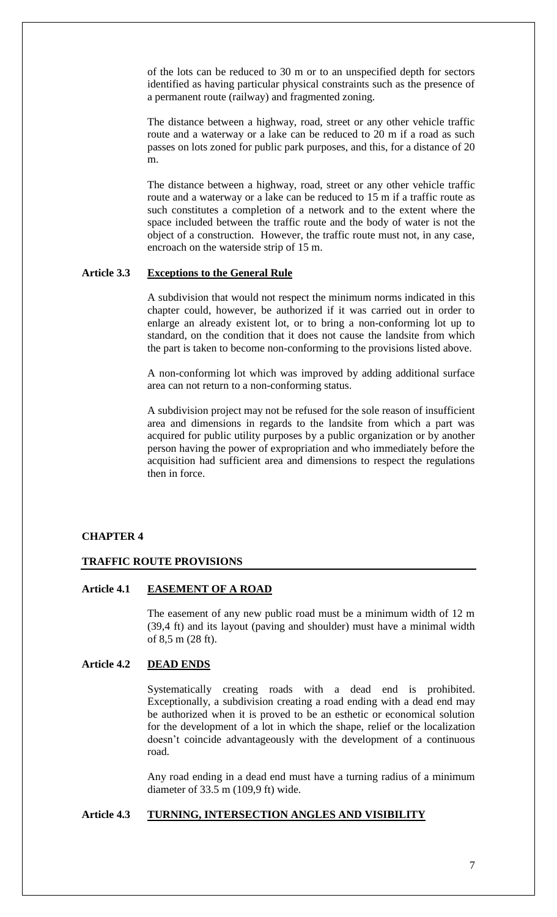of the lots can be reduced to 30 m or to an unspecified depth for sectors identified as having particular physical constraints such as the presence of a permanent route (railway) and fragmented zoning.

The distance between a highway, road, street or any other vehicle traffic route and a waterway or a lake can be reduced to 20 m if a road as such passes on lots zoned for public park purposes, and this, for a distance of 20 m.

The distance between a highway, road, street or any other vehicle traffic route and a waterway or a lake can be reduced to 15 m if a traffic route as such constitutes a completion of a network and to the extent where the space included between the traffic route and the body of water is not the object of a construction. However, the traffic route must not, in any case, encroach on the waterside strip of 15 m.

#### **Article 3.3 Exceptions to the General Rule**

A subdivision that would not respect the minimum norms indicated in this chapter could, however, be authorized if it was carried out in order to enlarge an already existent lot, or to bring a non-conforming lot up to standard, on the condition that it does not cause the landsite from which the part is taken to become non-conforming to the provisions listed above.

A non-conforming lot which was improved by adding additional surface area can not return to a non-conforming status.

A subdivision project may not be refused for the sole reason of insufficient area and dimensions in regards to the landsite from which a part was acquired for public utility purposes by a public organization or by another person having the power of expropriation and who immediately before the acquisition had sufficient area and dimensions to respect the regulations then in force.

# **CHAPTER 4**

#### **TRAFFIC ROUTE PROVISIONS**

## **Article 4.1 EASEMENT OF A ROAD**

The easement of any new public road must be a minimum width of 12 m (39,4 ft) and its layout (paving and shoulder) must have a minimal width of 8,5 m (28 ft).

# **Article 4.2 DEAD ENDS**

Systematically creating roads with a dead end is prohibited. Exceptionally, a subdivision creating a road ending with a dead end may be authorized when it is proved to be an esthetic or economical solution for the development of a lot in which the shape, relief or the localization doesn't coincide advantageously with the development of a continuous road.

Any road ending in a dead end must have a turning radius of a minimum diameter of 33.5 m (109,9 ft) wide.

## **Article 4.3 TURNING, INTERSECTION ANGLES AND VISIBILITY**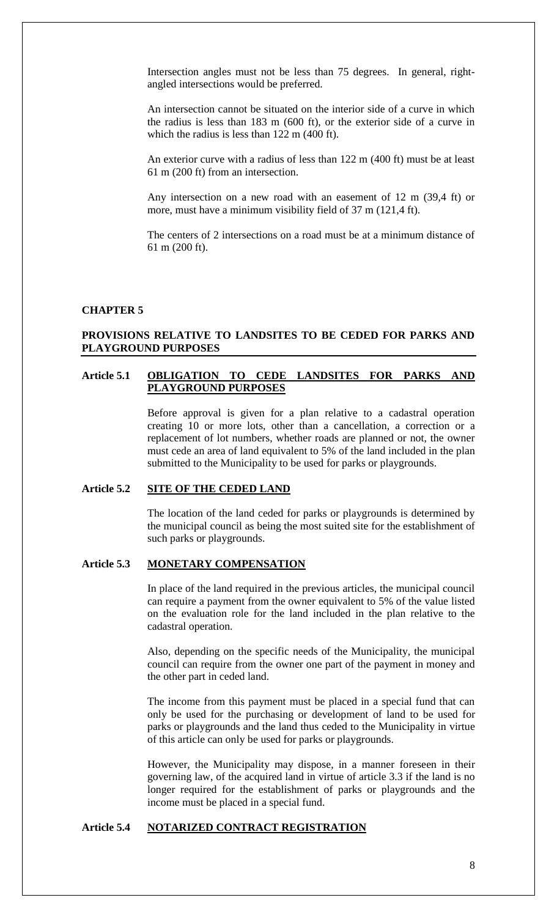Intersection angles must not be less than 75 degrees. In general, rightangled intersections would be preferred.

An intersection cannot be situated on the interior side of a curve in which the radius is less than 183 m (600 ft), or the exterior side of a curve in which the radius is less than 122 m (400 ft).

An exterior curve with a radius of less than 122 m (400 ft) must be at least 61 m (200 ft) from an intersection.

Any intersection on a new road with an easement of 12 m (39,4 ft) or more, must have a minimum visibility field of 37 m (121,4 ft).

The centers of 2 intersections on a road must be at a minimum distance of 61 m (200 ft).

## **CHAPTER 5**

## **PROVISIONS RELATIVE TO LANDSITES TO BE CEDED FOR PARKS AND PLAYGROUND PURPOSES**

#### **Article 5.1 OBLIGATION TO CEDE LANDSITES FOR PARKS AND PLAYGROUND PURPOSES**

Before approval is given for a plan relative to a cadastral operation creating 10 or more lots, other than a cancellation, a correction or a replacement of lot numbers, whether roads are planned or not, the owner must cede an area of land equivalent to 5% of the land included in the plan submitted to the Municipality to be used for parks or playgrounds.

## **Article 5.2 SITE OF THE CEDED LAND**

The location of the land ceded for parks or playgrounds is determined by the municipal council as being the most suited site for the establishment of such parks or playgrounds.

# **Article 5.3 MONETARY COMPENSATION**

In place of the land required in the previous articles, the municipal council can require a payment from the owner equivalent to 5% of the value listed on the evaluation role for the land included in the plan relative to the cadastral operation.

Also, depending on the specific needs of the Municipality, the municipal council can require from the owner one part of the payment in money and the other part in ceded land.

The income from this payment must be placed in a special fund that can only be used for the purchasing or development of land to be used for parks or playgrounds and the land thus ceded to the Municipality in virtue of this article can only be used for parks or playgrounds.

However, the Municipality may dispose, in a manner foreseen in their governing law, of the acquired land in virtue of article 3.3 if the land is no longer required for the establishment of parks or playgrounds and the income must be placed in a special fund.

#### **Article 5.4 NOTARIZED CONTRACT REGISTRATION**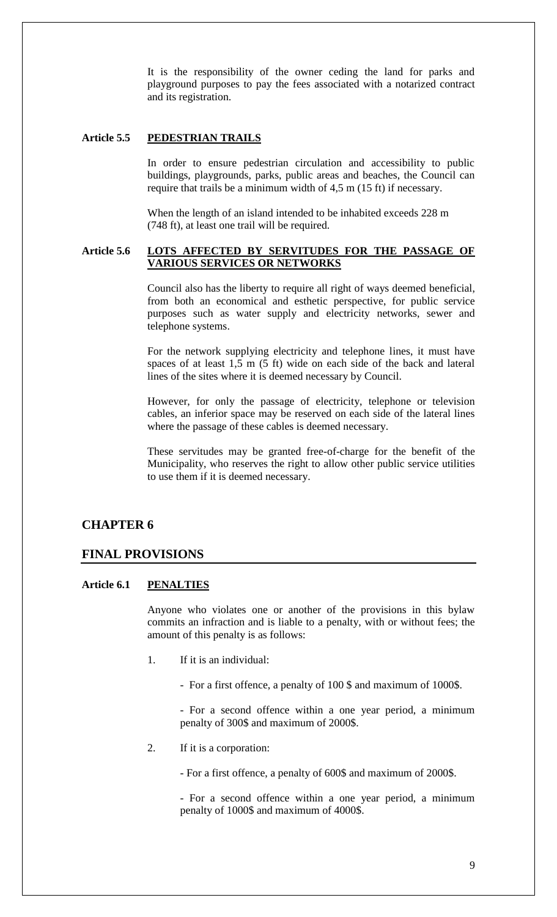It is the responsibility of the owner ceding the land for parks and playground purposes to pay the fees associated with a notarized contract and its registration.

## **Article 5.5 PEDESTRIAN TRAILS**

In order to ensure pedestrian circulation and accessibility to public buildings, playgrounds, parks, public areas and beaches, the Council can require that trails be a minimum width of 4,5 m (15 ft) if necessary.

When the length of an island intended to be inhabited exceeds 228 m (748 ft), at least one trail will be required.

## **Article 5.6 LOTS AFFECTED BY SERVITUDES FOR THE PASSAGE OF VARIOUS SERVICES OR NETWORKS**

Council also has the liberty to require all right of ways deemed beneficial, from both an economical and esthetic perspective, for public service purposes such as water supply and electricity networks, sewer and telephone systems.

For the network supplying electricity and telephone lines, it must have spaces of at least 1,5 m (5 ft) wide on each side of the back and lateral lines of the sites where it is deemed necessary by Council.

However, for only the passage of electricity, telephone or television cables, an inferior space may be reserved on each side of the lateral lines where the passage of these cables is deemed necessary.

These servitudes may be granted free-of-charge for the benefit of the Municipality, who reserves the right to allow other public service utilities to use them if it is deemed necessary.

# **CHAPTER 6**

## **FINAL PROVISIONS**

## **Article 6.1 PENALTIES**

Anyone who violates one or another of the provisions in this bylaw commits an infraction and is liable to a penalty, with or without fees; the amount of this penalty is as follows:

- 1. If it is an individual:
	- For a first offence, a penalty of 100 \$ and maximum of 1000\$.

- For a second offence within a one year period, a minimum penalty of 300\$ and maximum of 2000\$.

2. If it is a corporation:

- For a first offence, a penalty of 600\$ and maximum of 2000\$.

- For a second offence within a one year period, a minimum penalty of 1000\$ and maximum of 4000\$.